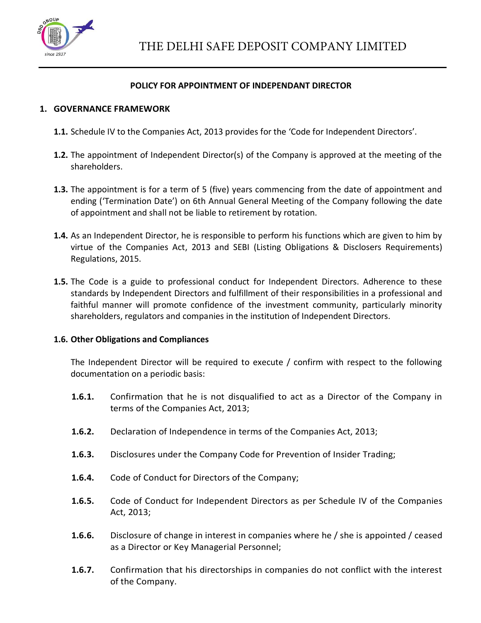

#### **POLICY FOR APPOINTMENT OF INDEPENDANT DIRECTOR**

#### **1. GOVERNANCE FRAMEWORK**

- **1.1.** Schedule IV to the Companies Act, 2013 provides for the 'Code for Independent Directors'.
- **1.2.** The appointment of Independent Director(s) of the Company is approved at the meeting of the shareholders.
- **1.3.** The appointment is for a term of 5 (five) years commencing from the date of appointment and ending ('Termination Date') on 6th Annual General Meeting of the Company following the date of appointment and shall not be liable to retirement by rotation.
- **1.4.** As an Independent Director, he is responsible to perform his functions which are given to him by virtue of the Companies Act, 2013 and SEBI (Listing Obligations & Disclosers Requirements) Regulations, 2015.
- **1.5.** The Code is a guide to professional conduct for Independent Directors. Adherence to these standards by Independent Directors and fulfillment of their responsibilities in a professional and faithful manner will promote confidence of the investment community, particularly minority shareholders, regulators and companies in the institution of Independent Directors.

#### **1.6. Other Obligations and Compliances**

The Independent Director will be required to execute / confirm with respect to the following documentation on a periodic basis:

- **1.6.1.** Confirmation that he is not disqualified to act as a Director of the Company in terms of the Companies Act, 2013;
- **1.6.2.** Declaration of Independence in terms of the Companies Act, 2013;
- **1.6.3.** Disclosures under the Company Code for Prevention of Insider Trading;
- **1.6.4.** Code of Conduct for Directors of the Company;
- **1.6.5.** Code of Conduct for Independent Directors as per Schedule IV of the Companies Act, 2013;
- **1.6.6.** Disclosure of change in interest in companies where he / she is appointed / ceased as a Director or Key Managerial Personnel;
- **1.6.7.** Confirmation that his directorships in companies do not conflict with the interest of the Company.